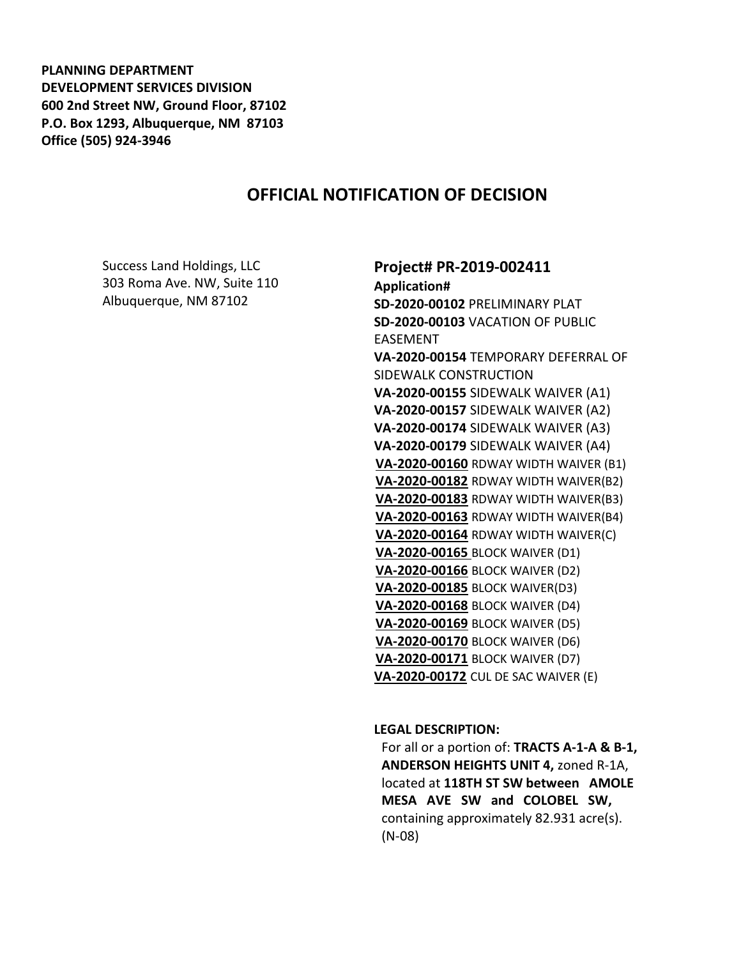**PLANNING DEPARTMENT DEVELOPMENT SERVICES DIVISION 600 2nd Street NW, Ground Floor, 87102 P.O. Box 1293, Albuquerque, NM 87103 Office (505) 924-3946** 

# **OFFICIAL NOTIFICATION OF DECISION**

Success Land Holdings, LLC 303 Roma Ave. NW, Suite 110 Albuquerque, NM 87102

**Project# PR-2019-002411 Application# SD-2020-00102** PRELIMINARY PLAT **SD-2020-00103** VACATION OF PUBLIC EASEMENT **VA-2020-00154** TEMPORARY DEFERRAL OF SIDEWALK CONSTRUCTION **VA-2020-00155** SIDEWALK WAIVER (A1) **VA-2020-00157** SIDEWALK WAIVER (A2) **VA-2020-00174** SIDEWALK WAIVER (A3) **VA-2020-00179** SIDEWALK WAIVER (A4) **VA-2020-00160** RDWAY WIDTH WAIVER (B1) **VA-2020-00182** RDWAY WIDTH WAIVER(B2) **VA-2020-00183** RDWAY WIDTH WAIVER(B3) **VA-2020-00163** RDWAY WIDTH WAIVER(B4) **VA-2020-00164** RDWAY WIDTH WAIVER(C) **VA-2020-00165** BLOCK WAIVER (D1) **VA-2020-00166** BLOCK WAIVER (D2) **VA-2020-00185** BLOCK WAIVER(D3) **VA-2020-00168** BLOCK WAIVER (D4) **VA-2020-00169** BLOCK WAIVER (D5) **VA-2020-00170** BLOCK WAIVER (D6) **VA-2020-00171** BLOCK WAIVER (D7) **VA-2020-00172** CUL DE SAC WAIVER (E)

**LEGAL DESCRIPTION:**

For all or a portion of: **TRACTS A-1-A & B-1, ANDERSON HEIGHTS UNIT 4,** zoned R-1A, located at **118TH ST SW between AMOLE MESA AVE SW and COLOBEL SW,**  containing approximately 82.931 acre(s). (N-08)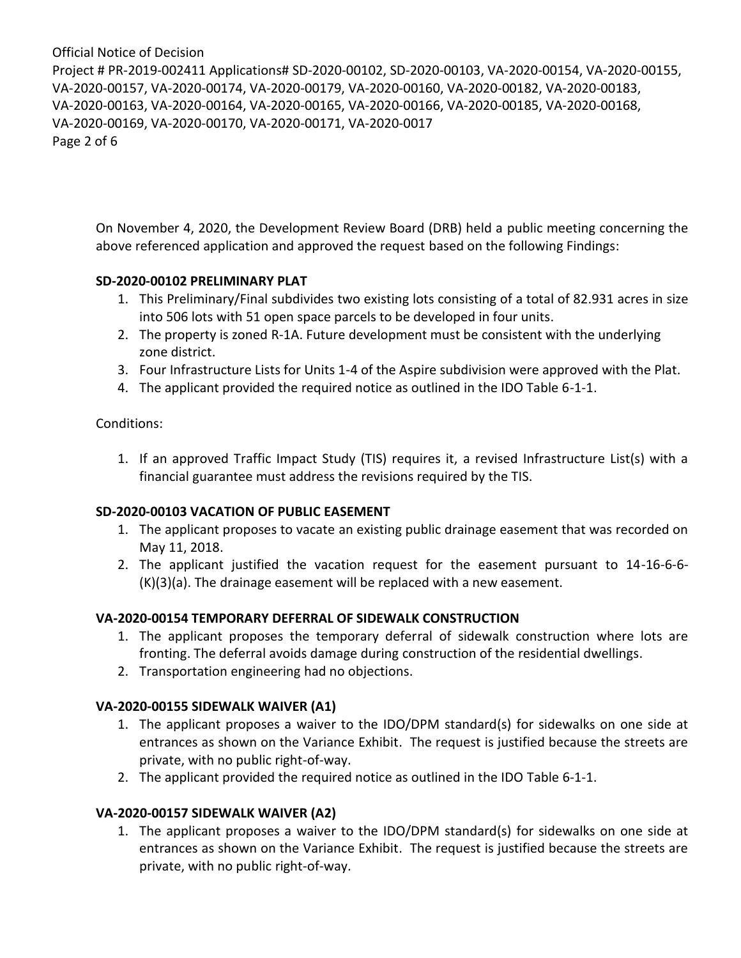Project # PR-2019-002411 Applications# SD-2020-00102, SD-2020-00103, VA-2020-00154, VA-2020-00155, VA-2020-00157, VA-2020-00174, VA-2020-00179, VA-2020-00160, VA-2020-00182, VA-2020-00183, VA-2020-00163, VA-2020-00164, VA-2020-00165, VA-2020-00166, VA-2020-00185, VA-2020-00168, VA-2020-00169, VA-2020-00170, VA-2020-00171, VA-2020-0017 Page 2 of 6

On November 4, 2020, the Development Review Board (DRB) held a public meeting concerning the above referenced application and approved the request based on the following Findings:

#### **SD-2020-00102 PRELIMINARY PLAT**

- 1. This Preliminary/Final subdivides two existing lots consisting of a total of 82.931 acres in size into 506 lots with 51 open space parcels to be developed in four units.
- 2. The property is zoned R-1A. Future development must be consistent with the underlying zone district.
- 3. Four Infrastructure Lists for Units 1-4 of the Aspire subdivision were approved with the Plat.
- 4. The applicant provided the required notice as outlined in the IDO Table 6-1-1.

#### Conditions:

1. If an approved Traffic Impact Study (TIS) requires it, a revised Infrastructure List(s) with a financial guarantee must address the revisions required by the TIS.

#### **SD-2020-00103 VACATION OF PUBLIC EASEMENT**

- 1. The applicant proposes to vacate an existing public drainage easement that was recorded on May 11, 2018.
- 2. The applicant justified the vacation request for the easement pursuant to 14-16-6-6- (K)(3)(a). The drainage easement will be replaced with a new easement.

### **VA-2020-00154 TEMPORARY DEFERRAL OF SIDEWALK CONSTRUCTION**

- 1. The applicant proposes the temporary deferral of sidewalk construction where lots are fronting. The deferral avoids damage during construction of the residential dwellings.
- 2. Transportation engineering had no objections.

#### **VA-2020-00155 SIDEWALK WAIVER (A1)**

- 1. The applicant proposes a waiver to the IDO/DPM standard(s) for sidewalks on one side at entrances as shown on the Variance Exhibit. The request is justified because the streets are private, with no public right-of-way.
- 2. The applicant provided the required notice as outlined in the IDO Table 6-1-1.

#### **VA-2020-00157 SIDEWALK WAIVER (A2)**

1. The applicant proposes a waiver to the IDO/DPM standard(s) for sidewalks on one side at entrances as shown on the Variance Exhibit. The request is justified because the streets are private, with no public right-of-way.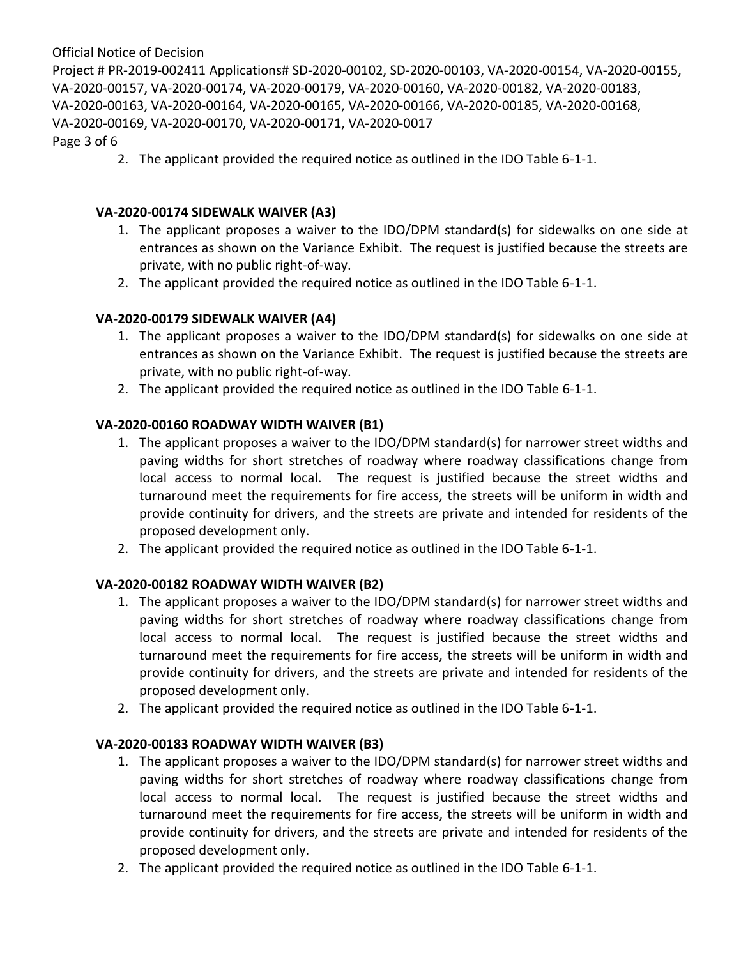Project # PR-2019-002411 Applications# SD-2020-00102, SD-2020-00103, VA-2020-00154, VA-2020-00155, VA-2020-00157, VA-2020-00174, VA-2020-00179, VA-2020-00160, VA-2020-00182, VA-2020-00183, VA-2020-00163, VA-2020-00164, VA-2020-00165, VA-2020-00166, VA-2020-00185, VA-2020-00168, VA-2020-00169, VA-2020-00170, VA-2020-00171, VA-2020-0017

Page 3 of 6

2. The applicant provided the required notice as outlined in the IDO Table 6-1-1.

### **VA-2020-00174 SIDEWALK WAIVER (A3)**

- 1. The applicant proposes a waiver to the IDO/DPM standard(s) for sidewalks on one side at entrances as shown on the Variance Exhibit. The request is justified because the streets are private, with no public right-of-way.
- 2. The applicant provided the required notice as outlined in the IDO Table 6-1-1.

### **VA-2020-00179 SIDEWALK WAIVER (A4)**

- 1. The applicant proposes a waiver to the IDO/DPM standard(s) for sidewalks on one side at entrances as shown on the Variance Exhibit. The request is justified because the streets are private, with no public right-of-way.
- 2. The applicant provided the required notice as outlined in the IDO Table 6-1-1.

### **VA-2020-00160 ROADWAY WIDTH WAIVER (B1)**

- 1. The applicant proposes a waiver to the IDO/DPM standard(s) for narrower street widths and paving widths for short stretches of roadway where roadway classifications change from local access to normal local. The request is justified because the street widths and turnaround meet the requirements for fire access, the streets will be uniform in width and provide continuity for drivers, and the streets are private and intended for residents of the proposed development only.
- 2. The applicant provided the required notice as outlined in the IDO Table 6-1-1.

### **VA-2020-00182 ROADWAY WIDTH WAIVER (B2)**

- 1. The applicant proposes a waiver to the IDO/DPM standard(s) for narrower street widths and paving widths for short stretches of roadway where roadway classifications change from local access to normal local. The request is justified because the street widths and turnaround meet the requirements for fire access, the streets will be uniform in width and provide continuity for drivers, and the streets are private and intended for residents of the proposed development only.
- 2. The applicant provided the required notice as outlined in the IDO Table 6-1-1.

### **VA-2020-00183 ROADWAY WIDTH WAIVER (B3)**

- 1. The applicant proposes a waiver to the IDO/DPM standard(s) for narrower street widths and paving widths for short stretches of roadway where roadway classifications change from local access to normal local. The request is justified because the street widths and turnaround meet the requirements for fire access, the streets will be uniform in width and provide continuity for drivers, and the streets are private and intended for residents of the proposed development only.
- 2. The applicant provided the required notice as outlined in the IDO Table 6-1-1.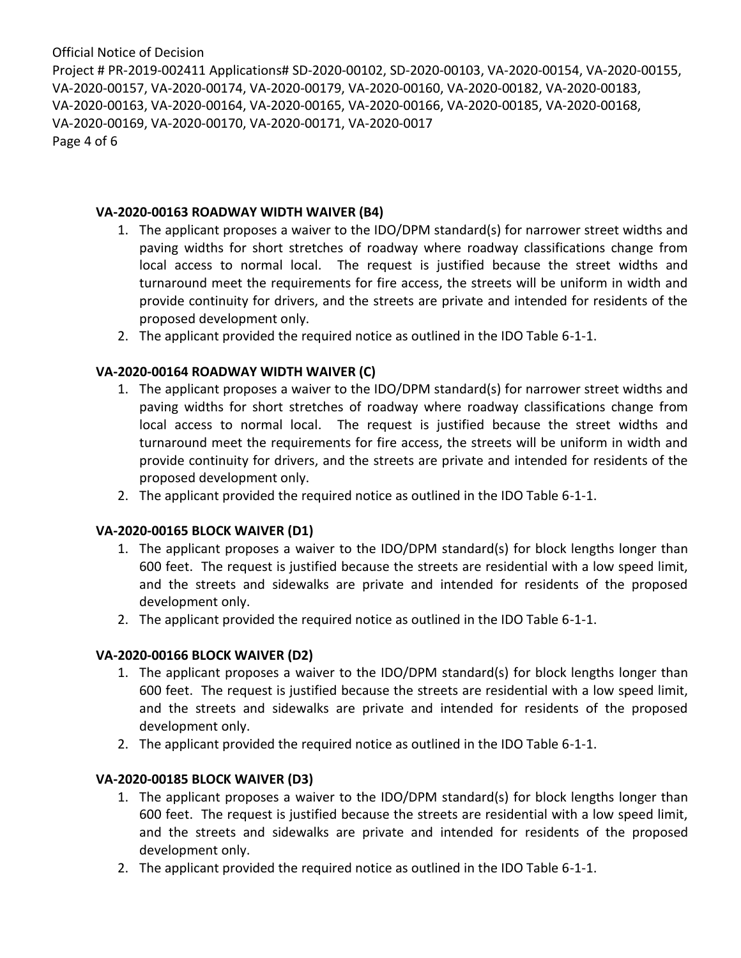Project # PR-2019-002411 Applications# SD-2020-00102, SD-2020-00103, VA-2020-00154, VA-2020-00155, VA-2020-00157, VA-2020-00174, VA-2020-00179, VA-2020-00160, VA-2020-00182, VA-2020-00183, VA-2020-00163, VA-2020-00164, VA-2020-00165, VA-2020-00166, VA-2020-00185, VA-2020-00168, VA-2020-00169, VA-2020-00170, VA-2020-00171, VA-2020-0017 Page 4 of 6

### **VA-2020-00163 ROADWAY WIDTH WAIVER (B4)**

- 1. The applicant proposes a waiver to the IDO/DPM standard(s) for narrower street widths and paving widths for short stretches of roadway where roadway classifications change from local access to normal local. The request is justified because the street widths and turnaround meet the requirements for fire access, the streets will be uniform in width and provide continuity for drivers, and the streets are private and intended for residents of the proposed development only.
- 2. The applicant provided the required notice as outlined in the IDO Table 6-1-1.

## **VA-2020-00164 ROADWAY WIDTH WAIVER (C)**

- 1. The applicant proposes a waiver to the IDO/DPM standard(s) for narrower street widths and paving widths for short stretches of roadway where roadway classifications change from local access to normal local. The request is justified because the street widths and turnaround meet the requirements for fire access, the streets will be uniform in width and provide continuity for drivers, and the streets are private and intended for residents of the proposed development only.
- 2. The applicant provided the required notice as outlined in the IDO Table 6-1-1.

### **VA-2020-00165 BLOCK WAIVER (D1)**

- 1. The applicant proposes a waiver to the IDO/DPM standard(s) for block lengths longer than 600 feet. The request is justified because the streets are residential with a low speed limit, and the streets and sidewalks are private and intended for residents of the proposed development only.
- 2. The applicant provided the required notice as outlined in the IDO Table 6-1-1.

## **VA-2020-00166 BLOCK WAIVER (D2)**

- 1. The applicant proposes a waiver to the IDO/DPM standard(s) for block lengths longer than 600 feet. The request is justified because the streets are residential with a low speed limit, and the streets and sidewalks are private and intended for residents of the proposed development only.
- 2. The applicant provided the required notice as outlined in the IDO Table 6-1-1.

## **VA-2020-00185 BLOCK WAIVER (D3)**

- 1. The applicant proposes a waiver to the IDO/DPM standard(s) for block lengths longer than 600 feet. The request is justified because the streets are residential with a low speed limit, and the streets and sidewalks are private and intended for residents of the proposed development only.
- 2. The applicant provided the required notice as outlined in the IDO Table 6-1-1.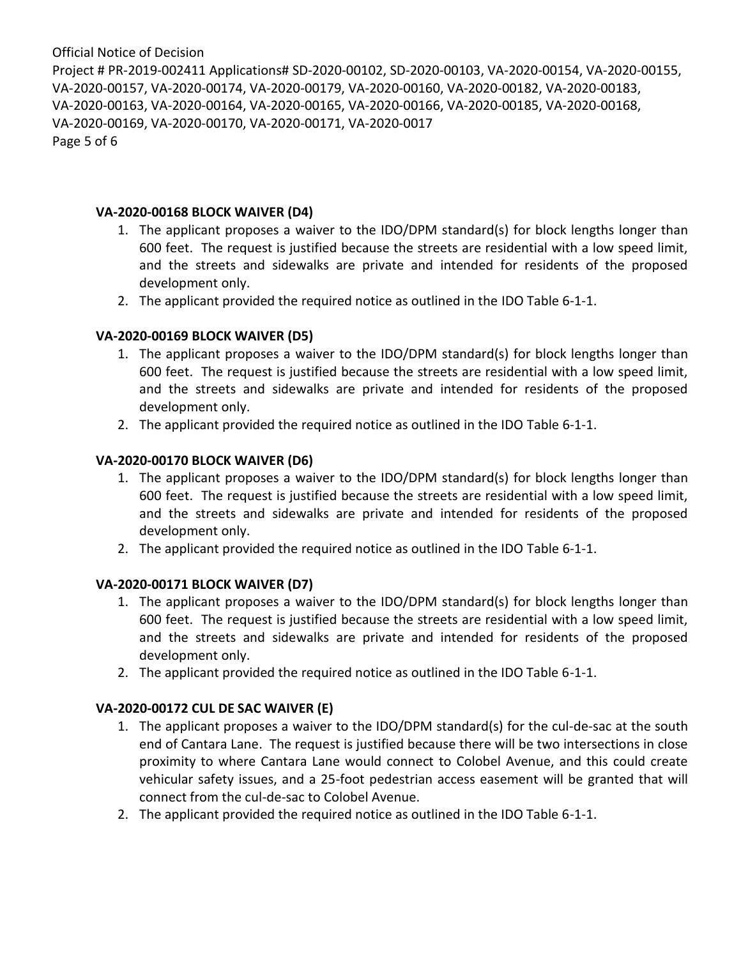Project # PR-2019-002411 Applications# SD-2020-00102, SD-2020-00103, VA-2020-00154, VA-2020-00155, VA-2020-00157, VA-2020-00174, VA-2020-00179, VA-2020-00160, VA-2020-00182, VA-2020-00183, VA-2020-00163, VA-2020-00164, VA-2020-00165, VA-2020-00166, VA-2020-00185, VA-2020-00168, VA-2020-00169, VA-2020-00170, VA-2020-00171, VA-2020-0017 Page 5 of 6

#### **VA-2020-00168 BLOCK WAIVER (D4)**

- 1. The applicant proposes a waiver to the IDO/DPM standard(s) for block lengths longer than 600 feet. The request is justified because the streets are residential with a low speed limit, and the streets and sidewalks are private and intended for residents of the proposed development only.
- 2. The applicant provided the required notice as outlined in the IDO Table 6-1-1.

### **VA-2020-00169 BLOCK WAIVER (D5)**

- 1. The applicant proposes a waiver to the IDO/DPM standard(s) for block lengths longer than 600 feet. The request is justified because the streets are residential with a low speed limit, and the streets and sidewalks are private and intended for residents of the proposed development only.
- 2. The applicant provided the required notice as outlined in the IDO Table 6-1-1.

### **VA-2020-00170 BLOCK WAIVER (D6)**

- 1. The applicant proposes a waiver to the IDO/DPM standard(s) for block lengths longer than 600 feet. The request is justified because the streets are residential with a low speed limit, and the streets and sidewalks are private and intended for residents of the proposed development only.
- 2. The applicant provided the required notice as outlined in the IDO Table 6-1-1.

### **VA-2020-00171 BLOCK WAIVER (D7)**

- 1. The applicant proposes a waiver to the IDO/DPM standard(s) for block lengths longer than 600 feet. The request is justified because the streets are residential with a low speed limit, and the streets and sidewalks are private and intended for residents of the proposed development only.
- 2. The applicant provided the required notice as outlined in the IDO Table 6-1-1.

### **VA-2020-00172 CUL DE SAC WAIVER (E)**

- 1. The applicant proposes a waiver to the IDO/DPM standard(s) for the cul-de-sac at the south end of Cantara Lane. The request is justified because there will be two intersections in close proximity to where Cantara Lane would connect to Colobel Avenue, and this could create vehicular safety issues, and a 25-foot pedestrian access easement will be granted that will connect from the cul-de-sac to Colobel Avenue.
- 2. The applicant provided the required notice as outlined in the IDO Table 6-1-1.